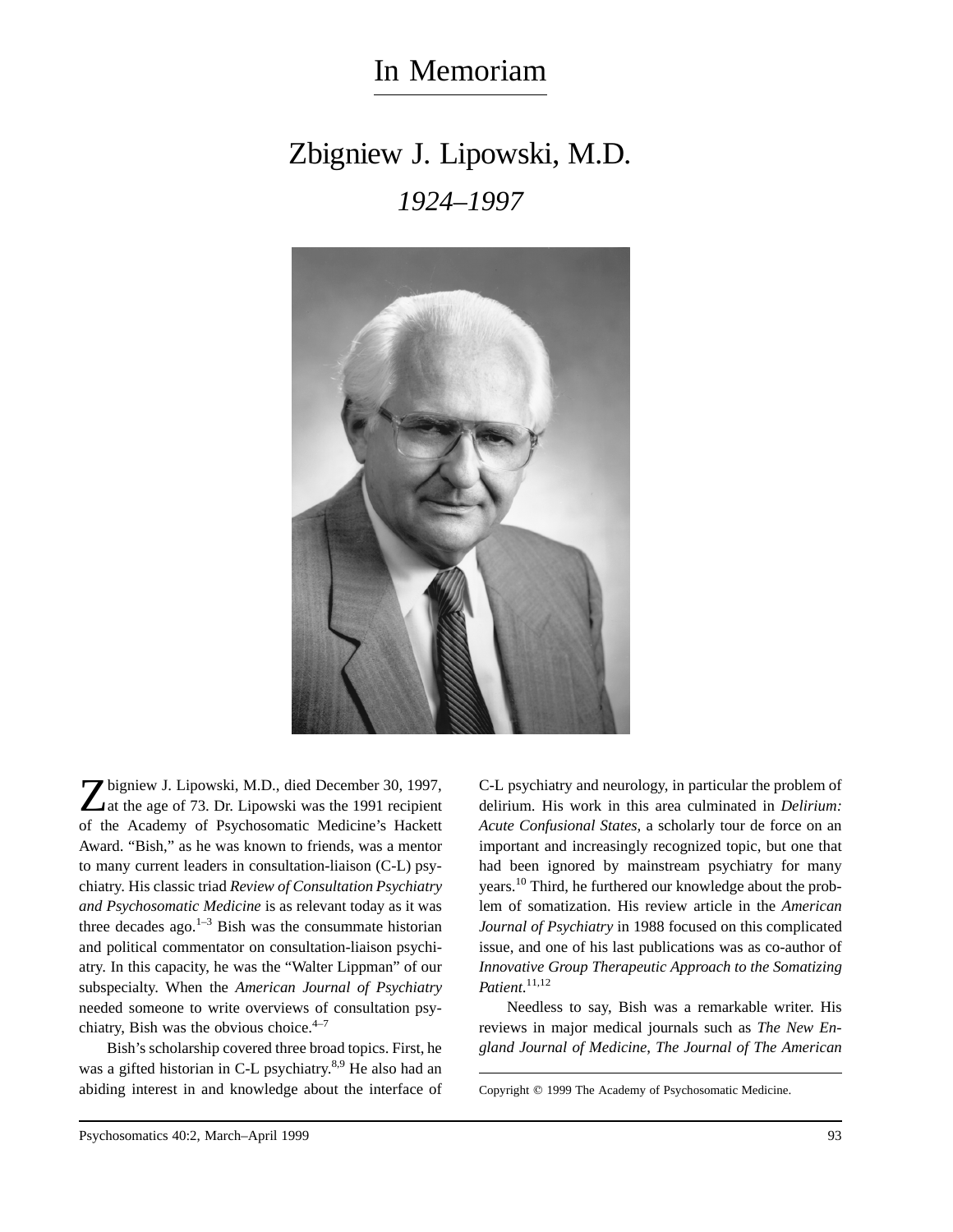## In Memoriam

## Zbigniew J. Lipowski, M.D. *1924–1997*



Zbigniew J. Lipowski, M.D., died December 30, 1997, at the age of 73. Dr. Lipowski was the 1991 recipient of the Academy of Psychosomatic Medicine's Hackett Award. "Bish," as he was known to friends, was a mentor to many current leaders in consultation-liaison (C-L) psychiatry. His classic triad *Review of Consultation Psychiatry and Psychosomatic Medicine* is as relevant today as it was three decades ago. $1-3$  Bish was the consummate historian and political commentator on consultation-liaison psychiatry. In this capacity, he was the "Walter Lippman" of our subspecialty. When the *American Journal of Psychiatry* needed someone to write overviews of consultation psychiatry, Bish was the obvious choice. $4-7$ 

Bish's scholarship covered three broad topics. First, he was a gifted historian in C-L psychiatry.<sup>8,9</sup> He also had an abiding interest in and knowledge about the interface of

C-L psychiatry and neurology, in particular the problem of delirium. His work in this area culminated in *Delirium: Acute Confusional States,* a scholarly tour de force on an important and increasingly recognized topic, but one that had been ignored by mainstream psychiatry for many years.10 Third, he furthered our knowledge about the problem of somatization. His review article in the *American Journal of Psychiatry* in 1988 focused on this complicated issue, and one of his last publications was as co-author of *Innovative Group Therapeutic Approach to the Somatizing Patient*. 11,12

Needless to say, Bish was a remarkable writer. His reviews in major medical journals such as *The New England Journal of Medicine*, *The Journal of The American*

Copyright © 1999 The Academy of Psychosomatic Medicine.